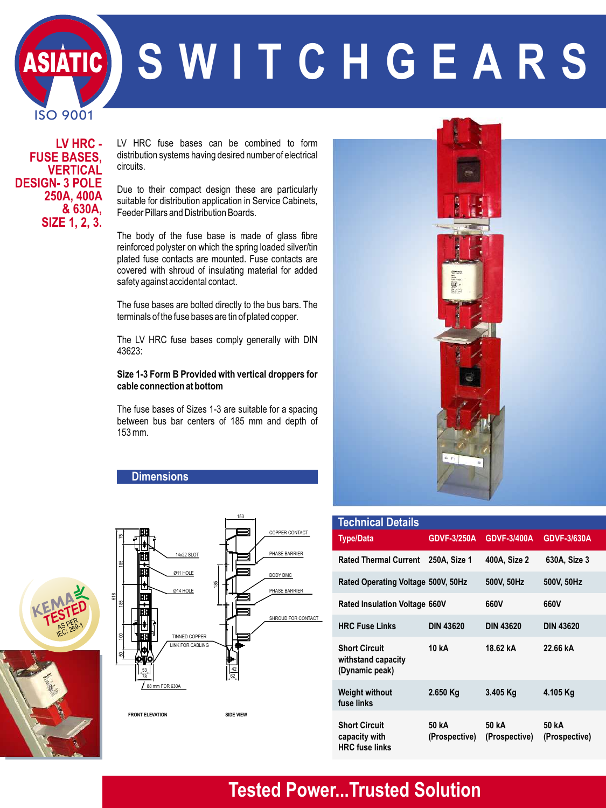**S W I T C H G E A R S**

**LV HRC - FUSE BASES, VERTICAL DESIGN- 3 POLE 250A, 400A & 630A, SIZE 1, 2, 3.**

ISO 9001

SIATIC

LV HRC fuse bases can be combined to form distribution systems having desired number of electrical circuits.

Due to their compact design these are particularly suitable for distribution application in Service Cabinets, Feeder Pillars and Distribution Boards.

The body of the fuse base is made of glass fibre reinforced polyster on which the spring loaded silver/tin plated fuse contacts are mounted. Fuse contacts are covered with shroud of insulating material for added safety against accidental contact.

The fuse bases are bolted directly to the bus bars. The terminals of the fuse bases are tin of plated copper.

The LV HRC fuse bases comply generally with DIN 43623:

#### **Size 1-3 Form B Provided with vertical droppers for cable connection at bottom**

The fuse bases of Sizes 1-3 are suitable for a spacing between bus bar centers of 185 mm and depth of 153 mm.

#### **Dimensions**







153

**SIDE VIEW**



| <b>Technical Details</b>                                       |                        |                        |                        |
|----------------------------------------------------------------|------------------------|------------------------|------------------------|
| <b>Type/Data</b>                                               | <b>GDVF-3/250A</b>     | <b>GDVF-3/400A</b>     | <b>GDVF-3/630A</b>     |
| <b>Rated Thermal Current</b>                                   | 250A, Size 1           | 400A, Size 2           | 630A, Size 3           |
| Rated Operating Voltage 500V, 50Hz                             |                        | 500V, 50Hz             | 500V, 50Hz             |
| <b>Rated Insulation Voltage 660V</b>                           |                        | 660V                   | 660V                   |
| <b>HRC Fuse Links</b>                                          | <b>DIN 43620</b>       | <b>DIN 43620</b>       | <b>DIN 43620</b>       |
| <b>Short Circuit</b><br>withstand capacity<br>(Dynamic peak)   | 10 kA                  | 18.62 kA               | 22.66 kA               |
| <b>Weight without</b><br>fuse links                            | $2.650$ Kg             | 3.405 Kg               | 4.105 Kg               |
| <b>Short Circuit</b><br>capacity with<br><b>HRC</b> fuse links | 50 kA<br>(Prospective) | 50 kA<br>(Prospective) | 50 kA<br>(Prospective) |

## **Tested Power...Trusted Solution**